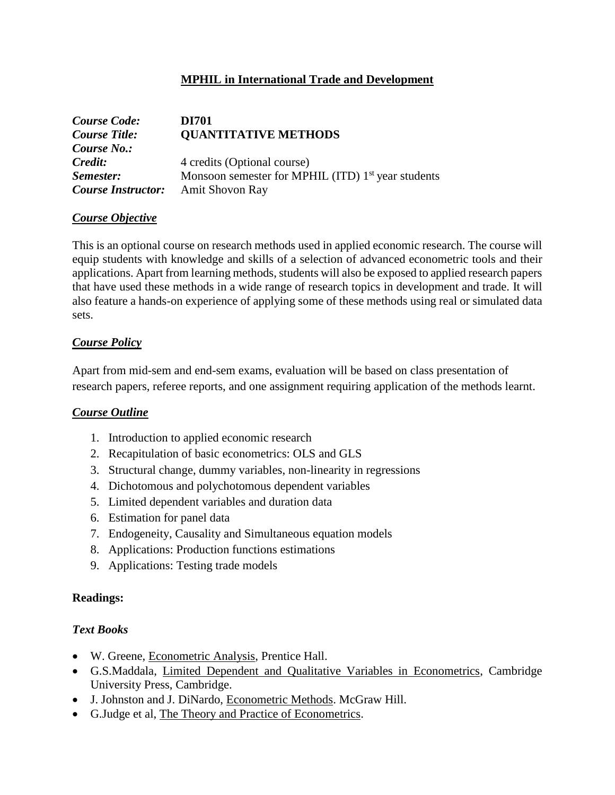# **MPHIL in International Trade and Development**

| <b>Course Code:</b>                       | DI701                                                |
|-------------------------------------------|------------------------------------------------------|
| <b>Course Title:</b>                      | <b>QUANTITATIVE METHODS</b>                          |
| Course No.:                               |                                                      |
| Credit:                                   | 4 credits (Optional course)                          |
| Semester:                                 | Monsoon semester for MPHIL (ITD) $1st$ year students |
| <b>Course Instructor:</b> Amit Shovon Ray |                                                      |

#### *Course Objective*

This is an optional course on research methods used in applied economic research. The course will equip students with knowledge and skills of a selection of advanced econometric tools and their applications. Apart from learning methods, students will also be exposed to applied research papers that have used these methods in a wide range of research topics in development and trade. It will also feature a hands-on experience of applying some of these methods using real or simulated data sets.

# *Course Policy*

Apart from mid-sem and end-sem exams, evaluation will be based on class presentation of research papers, referee reports, and one assignment requiring application of the methods learnt.

# *Course Outline*

- 1. Introduction to applied economic research
- 2. Recapitulation of basic econometrics: OLS and GLS
- 3. Structural change, dummy variables, non-linearity in regressions
- 4. Dichotomous and polychotomous dependent variables
- 5. Limited dependent variables and duration data
- 6. Estimation for panel data
- 7. Endogeneity, Causality and Simultaneous equation models
- 8. Applications: Production functions estimations
- 9. Applications: Testing trade models

#### **Readings:**

# *Text Books*

- W. Greene, Econometric Analysis, Prentice Hall.
- G.S.Maddala, Limited Dependent and Qualitative Variables in Econometrics, Cambridge University Press, Cambridge.
- J. Johnston and J. DiNardo, Econometric Methods. McGraw Hill.
- G.Judge et al, The Theory and Practice of Econometrics.